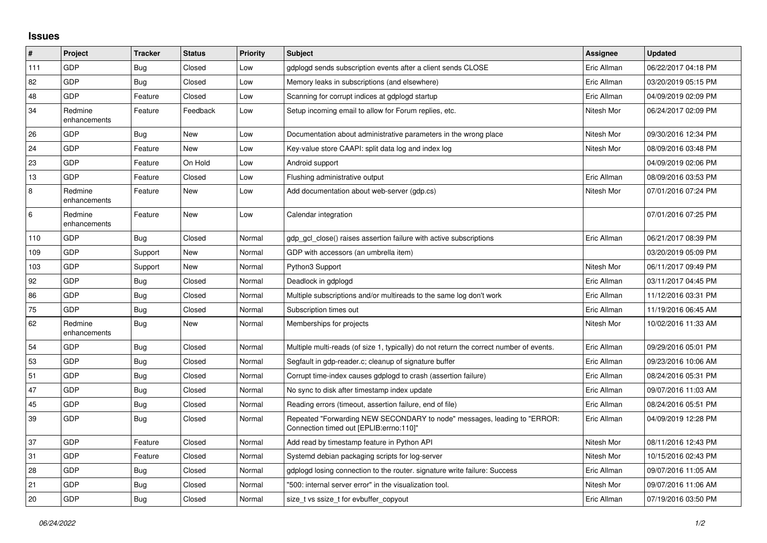## **Issues**

| #   | Project                 | <b>Tracker</b> | <b>Status</b> | <b>Priority</b> | <b>Subject</b>                                                                                                      | Assignee    | <b>Updated</b>      |
|-----|-------------------------|----------------|---------------|-----------------|---------------------------------------------------------------------------------------------------------------------|-------------|---------------------|
| 111 | <b>GDP</b>              | <b>Bug</b>     | Closed        | Low             | gdplogd sends subscription events after a client sends CLOSE                                                        | Eric Allman | 06/22/2017 04:18 PM |
| 82  | GDP                     | <b>Bug</b>     | Closed        | Low             | Memory leaks in subscriptions (and elsewhere)                                                                       | Eric Allman | 03/20/2019 05:15 PM |
| 48  | GDP                     | Feature        | Closed        | Low             | Scanning for corrupt indices at gdplogd startup                                                                     | Eric Allman | 04/09/2019 02:09 PM |
| 34  | Redmine<br>enhancements | Feature        | Feedback      | Low             | Setup incoming email to allow for Forum replies, etc.                                                               | Nitesh Mor  | 06/24/2017 02:09 PM |
| 26  | <b>GDP</b>              | <b>Bug</b>     | New           | Low             | Documentation about administrative parameters in the wrong place                                                    | Nitesh Mor  | 09/30/2016 12:34 PM |
| 24  | GDP                     | Feature        | New           | Low             | Key-value store CAAPI: split data log and index log                                                                 | Nitesh Mor  | 08/09/2016 03:48 PM |
| 23  | <b>GDP</b>              | Feature        | On Hold       | Low             | Android support                                                                                                     |             | 04/09/2019 02:06 PM |
| 13  | <b>GDP</b>              | Feature        | Closed        | Low             | Flushing administrative output                                                                                      | Eric Allman | 08/09/2016 03:53 PM |
| 8   | Redmine<br>enhancements | Feature        | <b>New</b>    | Low             | Add documentation about web-server (qdp.cs)                                                                         | Nitesh Mor  | 07/01/2016 07:24 PM |
| 6   | Redmine<br>enhancements | Feature        | New           | Low             | Calendar integration                                                                                                |             | 07/01/2016 07:25 PM |
| 110 | <b>GDP</b>              | Bug            | Closed        | Normal          | gdp_gcl_close() raises assertion failure with active subscriptions                                                  | Eric Allman | 06/21/2017 08:39 PM |
| 109 | <b>GDP</b>              | Support        | New           | Normal          | GDP with accessors (an umbrella item)                                                                               |             | 03/20/2019 05:09 PM |
| 103 | GDP                     | Support        | New           | Normal          | Python3 Support                                                                                                     | Nitesh Mor  | 06/11/2017 09:49 PM |
| 92  | <b>GDP</b>              | Bug            | Closed        | Normal          | Deadlock in gdplogd                                                                                                 | Eric Allman | 03/11/2017 04:45 PM |
| 86  | <b>GDP</b>              | <b>Bug</b>     | Closed        | Normal          | Multiple subscriptions and/or multireads to the same log don't work                                                 | Eric Allman | 11/12/2016 03:31 PM |
| 75  | GDP                     | <b>Bug</b>     | Closed        | Normal          | Subscription times out                                                                                              | Eric Allman | 11/19/2016 06:45 AM |
| 62  | Redmine<br>enhancements | Bug            | New           | Normal          | Memberships for projects                                                                                            | Nitesh Mor  | 10/02/2016 11:33 AM |
| 54  | <b>GDP</b>              | Bug            | Closed        | Normal          | Multiple multi-reads (of size 1, typically) do not return the correct number of events.                             | Eric Allman | 09/29/2016 05:01 PM |
| 53  | <b>GDP</b>              | Bug            | Closed        | Normal          | Segfault in gdp-reader.c; cleanup of signature buffer                                                               | Eric Allman | 09/23/2016 10:06 AM |
| 51  | GDP                     | <b>Bug</b>     | Closed        | Normal          | Corrupt time-index causes gdplogd to crash (assertion failure)                                                      | Eric Allman | 08/24/2016 05:31 PM |
| 47  | <b>GDP</b>              | <b>Bug</b>     | Closed        | Normal          | No sync to disk after timestamp index update                                                                        | Eric Allman | 09/07/2016 11:03 AM |
| 45  | <b>GDP</b>              | <b>Bug</b>     | Closed        | Normal          | Reading errors (timeout, assertion failure, end of file)                                                            | Eric Allman | 08/24/2016 05:51 PM |
| 39  | <b>GDP</b>              | <b>Bug</b>     | Closed        | Normal          | Repeated "Forwarding NEW SECONDARY to node" messages, leading to "ERROR:<br>Connection timed out [EPLIB:errno:110]" | Eric Allman | 04/09/2019 12:28 PM |
| 37  | <b>GDP</b>              | Feature        | Closed        | Normal          | Add read by timestamp feature in Python API                                                                         | Nitesh Mor  | 08/11/2016 12:43 PM |
| 31  | <b>GDP</b>              | Feature        | Closed        | Normal          | Systemd debian packaging scripts for log-server                                                                     | Nitesh Mor  | 10/15/2016 02:43 PM |
| 28  | <b>GDP</b>              | <b>Bug</b>     | Closed        | Normal          | gdplogd losing connection to the router, signature write failure: Success                                           | Eric Allman | 09/07/2016 11:05 AM |
| 21  | GDP                     | Bug            | Closed        | Normal          | "500: internal server error" in the visualization tool.                                                             | Nitesh Mor  | 09/07/2016 11:06 AM |
| 20  | <b>GDP</b>              | <b>Bug</b>     | Closed        | Normal          | size t vs ssize t for evbuffer copyout                                                                              | Eric Allman | 07/19/2016 03:50 PM |